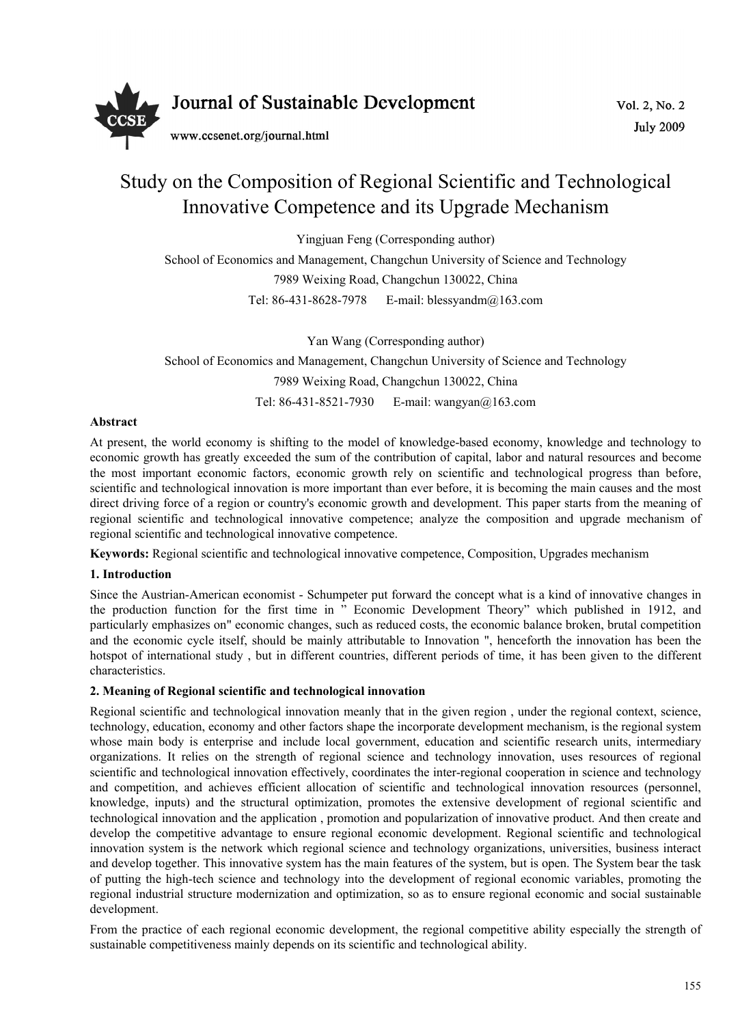

# Study on the Composition of Regional Scientific and Technological Innovative Competence and its Upgrade Mechanism

Yingjuan Feng (Corresponding author)

School of Economics and Management, Changchun University of Science and Technology 7989 Weixing Road, Changchun 130022, China Tel: 86-431-8628-7978 E-mail: blessyandm@163.com

Yan Wang (Corresponding author) School of Economics and Management, Changchun University of Science and Technology 7989 Weixing Road, Changchun 130022, China

Tel: 86-431-8521-7930 E-mail: wangyan@163.com

# **Abstract**

At present, the world economy is shifting to the model of knowledge-based economy, knowledge and technology to economic growth has greatly exceeded the sum of the contribution of capital, labor and natural resources and become the most important economic factors, economic growth rely on scientific and technological progress than before, scientific and technological innovation is more important than ever before, it is becoming the main causes and the most direct driving force of a region or country's economic growth and development. This paper starts from the meaning of regional scientific and technological innovative competence; analyze the composition and upgrade mechanism of regional scientific and technological innovative competence.

**Keywords:** Regional scientific and technological innovative competence, Composition, Upgrades mechanism

# **1. Introduction**

Since the Austrian-American economist - Schumpeter put forward the concept what is a kind of innovative changes in the production function for the first time in " Economic Development Theory" which published in 1912, and particularly emphasizes on" economic changes, such as reduced costs, the economic balance broken, brutal competition and the economic cycle itself, should be mainly attributable to Innovation ", henceforth the innovation has been the hotspot of international study , but in different countries, different periods of time, it has been given to the different characteristics.

# **2. Meaning of Regional scientific and technological innovation**

Regional scientific and technological innovation meanly that in the given region , under the regional context, science, technology, education, economy and other factors shape the incorporate development mechanism, is the regional system whose main body is enterprise and include local government, education and scientific research units, intermediary organizations. It relies on the strength of regional science and technology innovation, uses resources of regional scientific and technological innovation effectively, coordinates the inter-regional cooperation in science and technology and competition, and achieves efficient allocation of scientific and technological innovation resources (personnel, knowledge, inputs) and the structural optimization, promotes the extensive development of regional scientific and technological innovation and the application , promotion and popularization of innovative product. And then create and develop the competitive advantage to ensure regional economic development. Regional scientific and technological innovation system is the network which regional science and technology organizations, universities, business interact and develop together. This innovative system has the main features of the system, but is open. The System bear the task of putting the high-tech science and technology into the development of regional economic variables, promoting the regional industrial structure modernization and optimization, so as to ensure regional economic and social sustainable development.

From the practice of each regional economic development, the regional competitive ability especially the strength of sustainable competitiveness mainly depends on its scientific and technological ability.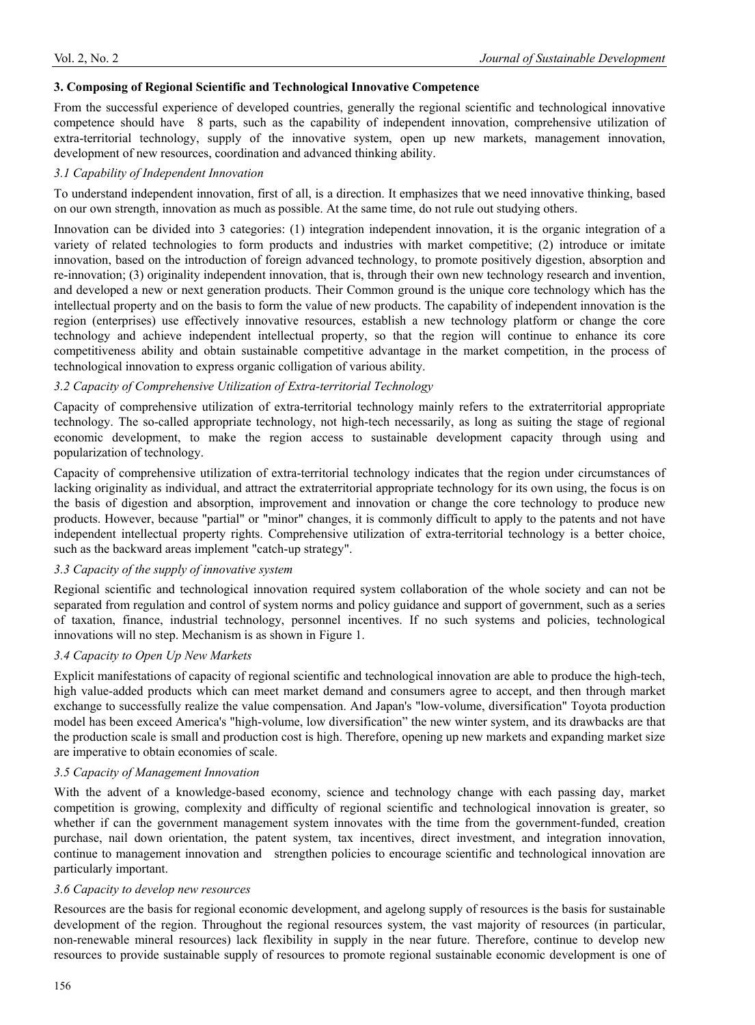# **3. Composing of Regional Scientific and Technological Innovative Competence**

From the successful experience of developed countries, generally the regional scientific and technological innovative competence should have 8 parts, such as the capability of independent innovation, comprehensive utilization of extra-territorial technology, supply of the innovative system, open up new markets, management innovation, development of new resources, coordination and advanced thinking ability.

## *3.1 Capability of Independent Innovation*

To understand independent innovation, first of all, is a direction. It emphasizes that we need innovative thinking, based on our own strength, innovation as much as possible. At the same time, do not rule out studying others.

Innovation can be divided into 3 categories: (1) integration independent innovation, it is the organic integration of a variety of related technologies to form products and industries with market competitive; (2) introduce or imitate innovation, based on the introduction of foreign advanced technology, to promote positively digestion, absorption and re-innovation; (3) originality independent innovation, that is, through their own new technology research and invention, and developed a new or next generation products. Their Common ground is the unique core technology which has the intellectual property and on the basis to form the value of new products. The capability of independent innovation is the region (enterprises) use effectively innovative resources, establish a new technology platform or change the core technology and achieve independent intellectual property, so that the region will continue to enhance its core competitiveness ability and obtain sustainable competitive advantage in the market competition, in the process of technological innovation to express organic colligation of various ability.

# *3.2 Capacity of Comprehensive Utilization of Extra-territorial Technology*

Capacity of comprehensive utilization of extra-territorial technology mainly refers to the extraterritorial appropriate technology. The so-called appropriate technology, not high-tech necessarily, as long as suiting the stage of regional economic development, to make the region access to sustainable development capacity through using and popularization of technology.

Capacity of comprehensive utilization of extra-territorial technology indicates that the region under circumstances of lacking originality as individual, and attract the extraterritorial appropriate technology for its own using, the focus is on the basis of digestion and absorption, improvement and innovation or change the core technology to produce new products. However, because "partial" or "minor" changes, it is commonly difficult to apply to the patents and not have independent intellectual property rights. Comprehensive utilization of extra-territorial technology is a better choice, such as the backward areas implement "catch-up strategy".

## *3.3 Capacity of the supply of innovative system*

Regional scientific and technological innovation required system collaboration of the whole society and can not be separated from regulation and control of system norms and policy guidance and support of government, such as a series of taxation, finance, industrial technology, personnel incentives. If no such systems and policies, technological innovations will no step. Mechanism is as shown in Figure 1.

# *3.4 Capacity to Open Up New Markets*

Explicit manifestations of capacity of regional scientific and technological innovation are able to produce the high-tech, high value-added products which can meet market demand and consumers agree to accept, and then through market exchange to successfully realize the value compensation. And Japan's "low-volume, diversification" Toyota production model has been exceed America's "high-volume, low diversification" the new winter system, and its drawbacks are that the production scale is small and production cost is high. Therefore, opening up new markets and expanding market size are imperative to obtain economies of scale.

#### *3.5 Capacity of Management Innovation*

With the advent of a knowledge-based economy, science and technology change with each passing day, market competition is growing, complexity and difficulty of regional scientific and technological innovation is greater, so whether if can the government management system innovates with the time from the government-funded, creation purchase, nail down orientation, the patent system, tax incentives, direct investment, and integration innovation, continue to management innovation and strengthen policies to encourage scientific and technological innovation are particularly important.

#### *3.6 Capacity to develop new resources*

Resources are the basis for regional economic development, and agelong supply of resources is the basis for sustainable development of the region. Throughout the regional resources system, the vast majority of resources (in particular, non-renewable mineral resources) lack flexibility in supply in the near future. Therefore, continue to develop new resources to provide sustainable supply of resources to promote regional sustainable economic development is one of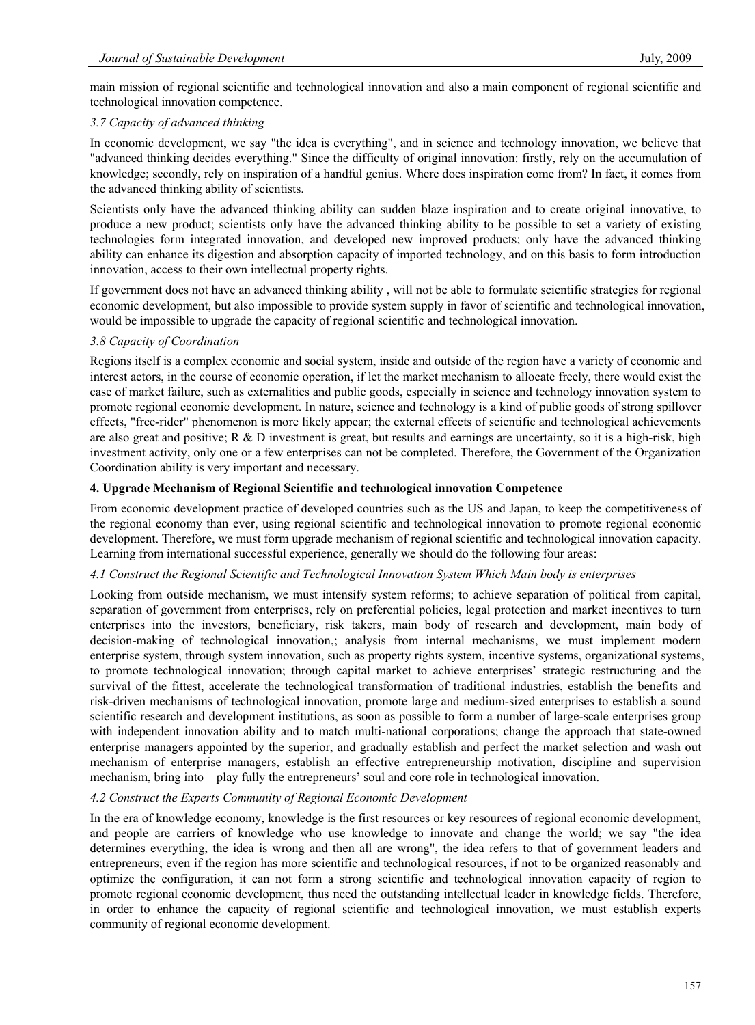main mission of regional scientific and technological innovation and also a main component of regional scientific and technological innovation competence.

# *3.7 Capacity of advanced thinking*

In economic development, we say "the idea is everything", and in science and technology innovation, we believe that "advanced thinking decides everything." Since the difficulty of original innovation: firstly, rely on the accumulation of knowledge; secondly, rely on inspiration of a handful genius. Where does inspiration come from? In fact, it comes from the advanced thinking ability of scientists.

Scientists only have the advanced thinking ability can sudden blaze inspiration and to create original innovative, to produce a new product; scientists only have the advanced thinking ability to be possible to set a variety of existing technologies form integrated innovation, and developed new improved products; only have the advanced thinking ability can enhance its digestion and absorption capacity of imported technology, and on this basis to form introduction innovation, access to their own intellectual property rights.

If government does not have an advanced thinking ability , will not be able to formulate scientific strategies for regional economic development, but also impossible to provide system supply in favor of scientific and technological innovation, would be impossible to upgrade the capacity of regional scientific and technological innovation.

# *3.8 Capacity of Coordination*

Regions itself is a complex economic and social system, inside and outside of the region have a variety of economic and interest actors, in the course of economic operation, if let the market mechanism to allocate freely, there would exist the case of market failure, such as externalities and public goods, especially in science and technology innovation system to promote regional economic development. In nature, science and technology is a kind of public goods of strong spillover effects, "free-rider" phenomenon is more likely appear; the external effects of scientific and technological achievements are also great and positive;  $R \& D$  investment is great, but results and earnings are uncertainty, so it is a high-risk, high investment activity, only one or a few enterprises can not be completed. Therefore, the Government of the Organization Coordination ability is very important and necessary.

# **4. Upgrade Mechanism of Regional Scientific and technological innovation Competence**

From economic development practice of developed countries such as the US and Japan, to keep the competitiveness of the regional economy than ever, using regional scientific and technological innovation to promote regional economic development. Therefore, we must form upgrade mechanism of regional scientific and technological innovation capacity. Learning from international successful experience, generally we should do the following four areas:

# *4.1 Construct the Regional Scientific and Technological Innovation System Which Main body is enterprises*

Looking from outside mechanism, we must intensify system reforms; to achieve separation of political from capital, separation of government from enterprises, rely on preferential policies, legal protection and market incentives to turn enterprises into the investors, beneficiary, risk takers, main body of research and development, main body of decision-making of technological innovation,; analysis from internal mechanisms, we must implement modern enterprise system, through system innovation, such as property rights system, incentive systems, organizational systems, to promote technological innovation; through capital market to achieve enterprises' strategic restructuring and the survival of the fittest, accelerate the technological transformation of traditional industries, establish the benefits and risk-driven mechanisms of technological innovation, promote large and medium-sized enterprises to establish a sound scientific research and development institutions, as soon as possible to form a number of large-scale enterprises group with independent innovation ability and to match multi-national corporations; change the approach that state-owned enterprise managers appointed by the superior, and gradually establish and perfect the market selection and wash out mechanism of enterprise managers, establish an effective entrepreneurship motivation, discipline and supervision mechanism, bring into play fully the entrepreneurs' soul and core role in technological innovation.

# *4.2 Construct the Experts Community of Regional Economic Development*

In the era of knowledge economy, knowledge is the first resources or key resources of regional economic development, and people are carriers of knowledge who use knowledge to innovate and change the world; we say "the idea determines everything, the idea is wrong and then all are wrong", the idea refers to that of government leaders and entrepreneurs; even if the region has more scientific and technological resources, if not to be organized reasonably and optimize the configuration, it can not form a strong scientific and technological innovation capacity of region to promote regional economic development, thus need the outstanding intellectual leader in knowledge fields. Therefore, in order to enhance the capacity of regional scientific and technological innovation, we must establish experts community of regional economic development.